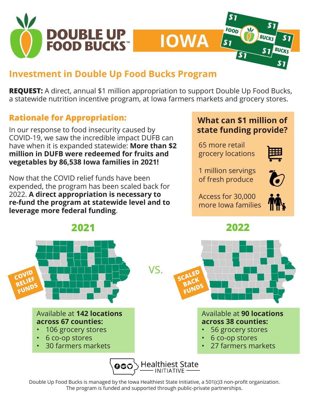

## **Investment in Double Up Food Bucks Program**

**REQUEST:** A direct, annual \$1 million appropriation to support Double Up Food Bucks, a statewide nutrition incentive program, at Iowa farmers markets and grocery stores.

**IOWA**

### **Rationale for Appropriation:**

In our response to food insecurity caused by COVID-19, we saw the incredible impact DUFB can have when it is expanded statewide: **More than \$2 million in DUFB were redeemed for fruits and vegetables by 86,538 Iowa families in 2021!**

Now that the COVID relief funds have been expended, the program has been scaled back for 2022. **A direct appropriation is necessary to re-fund the program at statewide level and to leverage more federal funding**.



FOOD

 $'s<sub>1</sub>$ 

65 more retail grocery locations



**BUCKS** 

 $\boldsymbol{s}$  1

1 million servings of fresh produce

 $\bm{\omega}$ 

Access for 30,000 more Iowa families





Double Up Food Bucks is managed by the Iowa Healthiest State Initiative, a 501(c)3 non-profit organization. The program is funded and supported through public-private partnerships.